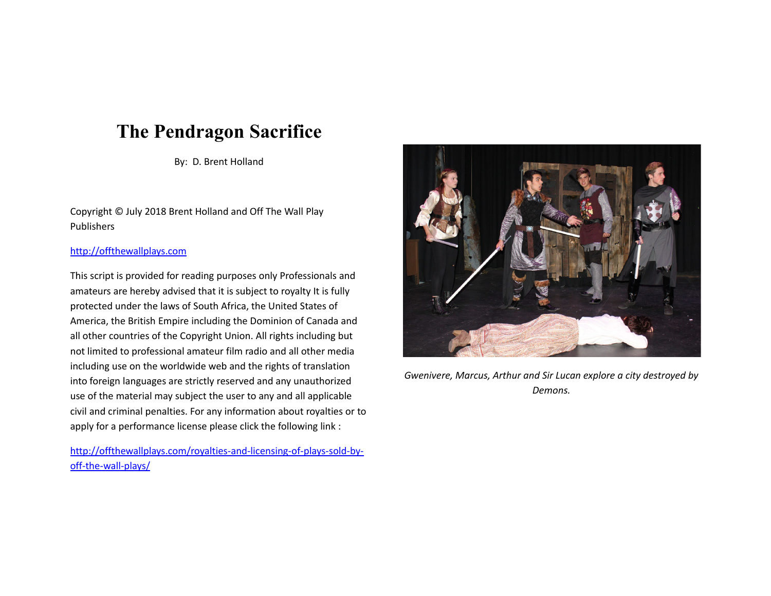# **The Pendragon Sacrifice**

By: D. Brent Holland

Copyright © July 2018 Brent Holland and Off The Wall Play Publishers

## [http://offthewallplays.com](http://offthewallplays.com/)

This script is provided for reading purposes only Professionals and amateurs are hereby advised that it is subject to royalty It is fully protected under the laws of South Africa, the United States of America, the British Empire including the Dominion of Canada and all other countries of the Copyright Union. All rights including but not limited to professional amateur film radio and all other media including use on the worldwide web and the rights of translation into foreign languages are strictly reserved and any unauthorized use of the material may subject the user to any and all applicable civil and criminal penalties. For any information about royalties or to apply for a performance license please click the following link :

[http://offthewallplays.com/royalties-and-licensing-of-plays-sold-by](http://offthewallplays.com/royalties-and-licensing-of-plays-sold-by-off-the-wall-plays/)[off-the-wall-plays/](http://offthewallplays.com/royalties-and-licensing-of-plays-sold-by-off-the-wall-plays/)



*Gwenivere, Marcus, Arthur and Sir Lucan explore a city destroyed by Demons.*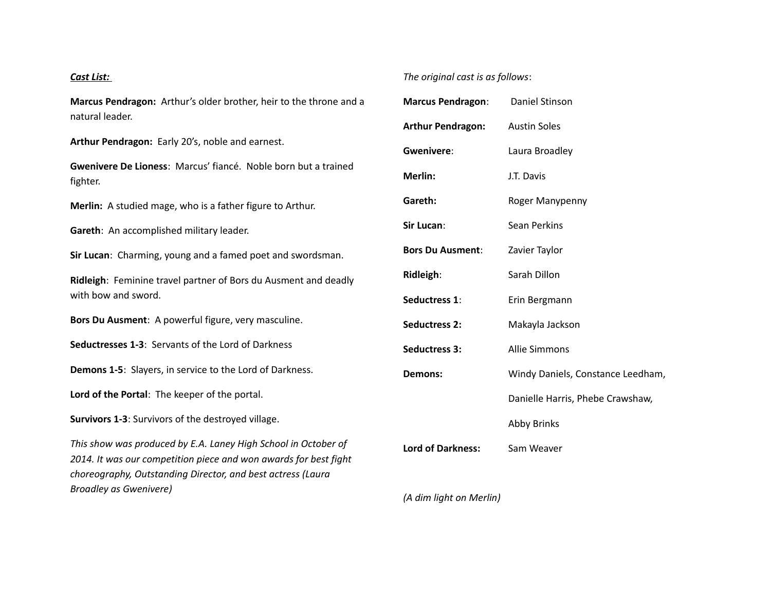## *Cast List:*

**Marcus Pendragon:** Arthur's older brother, heir to the throne and a natural leader.

**Arthur Pendragon:** Early 20's, noble and earnest.

**Gwenivere De Lioness**: Marcus' fiancé. Noble born but a trained fighter.

**Merlin:** A studied mage, who is a father figure to Arthur.

**Gareth**: An accomplished military leader.

**Sir Lucan**: Charming, young and a famed poet and swordsman.

**Ridleigh**: Feminine travel partner of Bors du Ausment and deadly with bow and sword.

**Bors Du Ausment**: A powerful figure, very masculine.

**Seductresses 1-3**: Servants of the Lord of Darkness

**Demons 1-5**: Slayers, in service to the Lord of Darkness.

**Lord of the Portal**: The keeper of the portal.

**Survivors 1-3**: Survivors of the destroyed village.

*This show was produced by E.A. Laney High School in October of 2014. It was our competition piece and won awards for best fight choreography, Outstanding Director, and best actress (Laura Broadley as Gwenivere)* 

# *The original cast is as follows*:

| Marcus Pendragon: Daniel Stinson |                                   |
|----------------------------------|-----------------------------------|
| <b>Arthur Pendragon:</b>         | <b>Austin Soles</b>               |
| Gwenivere:                       | Laura Broadley                    |
| Merlin:                          | J.T. Davis                        |
| Gareth:                          | Roger Manypenny                   |
| Sir Lucan:                       | Sean Perkins                      |
| <b>Bors Du Ausment:</b>          | Zavier Taylor                     |
| Ridleigh:                        | Sarah Dillon                      |
| Seductress 1:                    | Erin Bergmann                     |
| <b>Seductress 2:</b>             | Makayla Jackson                   |
| <b>Seductress 3:</b>             | <b>Allie Simmons</b>              |
| Demons:                          | Windy Daniels, Constance Leedham, |
|                                  | Danielle Harris, Phebe Crawshaw,  |
|                                  | <b>Abby Brinks</b>                |
| <b>Lord of Darkness:</b>         | Sam Weaver                        |
|                                  |                                   |

*(A dim light on Merlin)*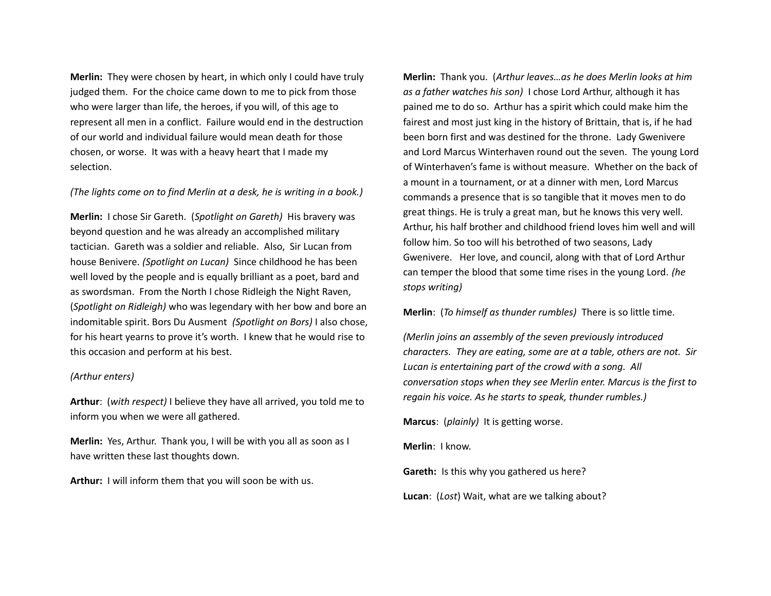**Merlin:** They were chosen by heart, in which only I could have truly judged them. For the choice came down to me to pick from those who were larger than life, the heroes, if you will, of this age to represent all men in a conflict. Failure would end in the destruction of our world and individual failure would mean death for those chosen, or worse. It was with a heavy heart that I made my selection.

*(The lights come on to find Merlin at a desk, he is writing in a book.)*

**Merlin:** I chose Sir Gareth. (*Spotlight on Gareth)* His bravery was beyond question and he was already an accomplished military tactician. Gareth was a soldier and reliable. Also, Sir Lucan from house Benivere. *(Spotlight on Lucan)* Since childhood he has been well loved by the people and is equally brilliant as a poet, bard and as swordsman. From the North I chose Ridleigh the Night Raven, (*Spotlight on Ridleigh)* who was legendary with her bow and bore an indomitable spirit. Bors Du Ausment *(Spotlight on Bors)* I also chose, for his heart yearns to prove it's worth. I knew that he would rise to this occasion and perform at his best.

#### *(Arthur enters)*

**Arthur**: (*with respect)* I believe they have all arrived, you told me to inform you when we were all gathered.

**Merlin:** Yes, Arthur. Thank you, I will be with you all as soon as I have written these last thoughts down.

**Arthur:** I will inform them that you will soon be with us.

**Merlin:** Thank you. (*Arthur leaves…as he does Merlin looks at him as a father watches his son)* I chose Lord Arthur, although it has pained me to do so. Arthur has a spirit which could make him the fairest and most just king in the history of Brittain, that is, if he had been born first and was destined for the throne. Lady Gwenivere and Lord Marcus Winterhaven round out the seven. The young Lord of Winterhaven's fame is without measure. Whether on the back of a mount in a tournament, or at a dinner with men, Lord Marcus commands a presence that is so tangible that it moves men to do great things. He is truly a great man, but he knows this very well. Arthur, his half brother and childhood friend loves him well and will follow him. So too will his betrothed of two seasons, Lady Gwenivere. Her love, and council, along with that of Lord Arthur can temper the blood that some time rises in the young Lord. *(he stops writing)*

**Merlin**: (*To himself as thunder rumbles)* There is so little time.

*(Merlin joins an assembly of the seven previously introduced characters. They are eating, some are at a table, others are not. Sir Lucan is entertaining part of the crowd with a song. All conversation stops when they see Merlin enter. Marcus is the first to regain his voice. As he starts to speak, thunder rumbles.)*

**Marcus**: (*plainly)* It is getting worse.

**Merlin**: I know.

**Gareth:** Is this why you gathered us here?

**Lucan**: (*Lost*) Wait, what are we talking about?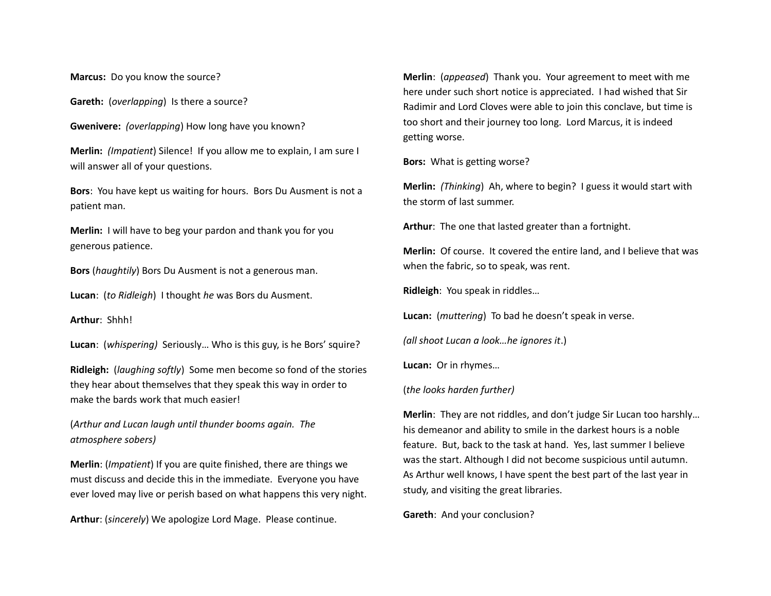**Marcus:** Do you know the source?

**Gareth:** (*overlapping*) Is there a source?

**Gwenivere:** *(overlapping*) How long have you known?

**Merlin:** *(Impatient*) Silence! If you allow me to explain, I am sure I will answer all of your questions.

**Bors**: You have kept us waiting for hours. Bors Du Ausment is not a patient man.

**Merlin:** I will have to beg your pardon and thank you for you generous patience.

**Bors** (*haughtily*) Bors Du Ausment is not a generous man.

**Lucan**: (*to Ridleigh*) I thought *he* was Bors du Ausment.

**Arthur**: Shhh!

**Lucan**: (*whispering)* Seriously… Who is this guy, is he Bors' squire?

**Ridleigh:** (*laughing softly*) Some men become so fond of the stories they hear about themselves that they speak this way in order to make the bards work that much easier!

(*Arthur and Lucan laugh until thunder booms again. The atmosphere sobers)*

**Merlin**: (*Impatient*) If you are quite finished, there are things we must discuss and decide this in the immediate. Everyone you have ever loved may live or perish based on what happens this very night.

**Arthur**: (*sincerely*) We apologize Lord Mage. Please continue.

**Merlin**: (*appeased*) Thank you. Your agreement to meet with me here under such short notice is appreciated. I had wished that Sir Radimir and Lord Cloves were able to join this conclave, but time is too short and their journey too long. Lord Marcus, it is indeed getting worse.

**Bors:** What is getting worse?

**Merlin:** *(Thinking*) Ah, where to begin? I guess it would start with the storm of last summer.

**Arthur**: The one that lasted greater than a fortnight.

**Merlin:** Of course. It covered the entire land, and I believe that was when the fabric, so to speak, was rent.

**Ridleigh**: You speak in riddles…

**Lucan:** (*muttering*) To bad he doesn't speak in verse.

*(all shoot Lucan a look…he ignores it*.)

**Lucan:** Or in rhymes…

(*the looks harden further)*

**Merlin**: They are not riddles, and don't judge Sir Lucan too harshly… his demeanor and ability to smile in the darkest hours is a noble feature. But, back to the task at hand. Yes, last summer I believe was the start. Although I did not become suspicious until autumn. As Arthur well knows, I have spent the best part of the last year in study, and visiting the great libraries.

**Gareth**: And your conclusion?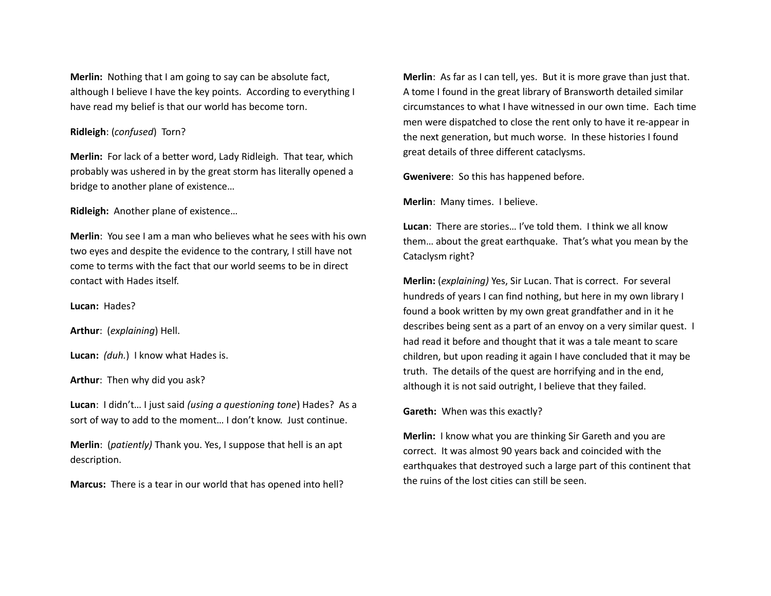**Merlin:** Nothing that I am going to say can be absolute fact, although I believe I have the key points. According to everything I have read my belief is that our world has become torn.

#### **Ridleigh**: (*confused*) Torn?

**Merlin:** For lack of a better word, Lady Ridleigh. That tear, which probably was ushered in by the great storm has literally opened a bridge to another plane of existence…

**Ridleigh:** Another plane of existence…

**Merlin**: You see I am a man who believes what he sees with his own two eyes and despite the evidence to the contrary, I still have not come to terms with the fact that our world seems to be in direct contact with Hades itself.

**Lucan:** Hades?

**Arthur**: (*explaining*) Hell.

**Lucan:** *(duh.*) I know what Hades is.

**Arthur**: Then why did you ask?

**Lucan**: I didn't… I just said *(using a questioning tone*) Hades? As a sort of way to add to the moment… I don't know. Just continue.

**Merlin**: (*patiently)* Thank you. Yes, I suppose that hell is an apt description.

**Marcus:** There is a tear in our world that has opened into hell?

**Merlin**: As far as I can tell, yes. But it is more grave than just that. A tome I found in the great library of Bransworth detailed similar circumstances to what I have witnessed in our own time. Each time men were dispatched to close the rent only to have it re-appear in the next generation, but much worse. In these histories I found great details of three different cataclysms.

**Gwenivere**: So this has happened before.

**Merlin**: Many times. I believe.

**Lucan**: There are stories… I've told them. I think we all know them… about the great earthquake. That's what you mean by the Cataclysm right?

**Merlin:** (*explaining)* Yes, Sir Lucan. That is correct. For several hundreds of years I can find nothing, but here in my own library I found a book written by my own great grandfather and in it he describes being sent as a part of an envoy on a very similar quest. I had read it before and thought that it was a tale meant to scare children, but upon reading it again I have concluded that it may be truth. The details of the quest are horrifying and in the end, although it is not said outright, I believe that they failed.

**Gareth:** When was this exactly?

**Merlin:** I know what you are thinking Sir Gareth and you are correct. It was almost 90 years back and coincided with the earthquakes that destroyed such a large part of this continent that the ruins of the lost cities can still be seen.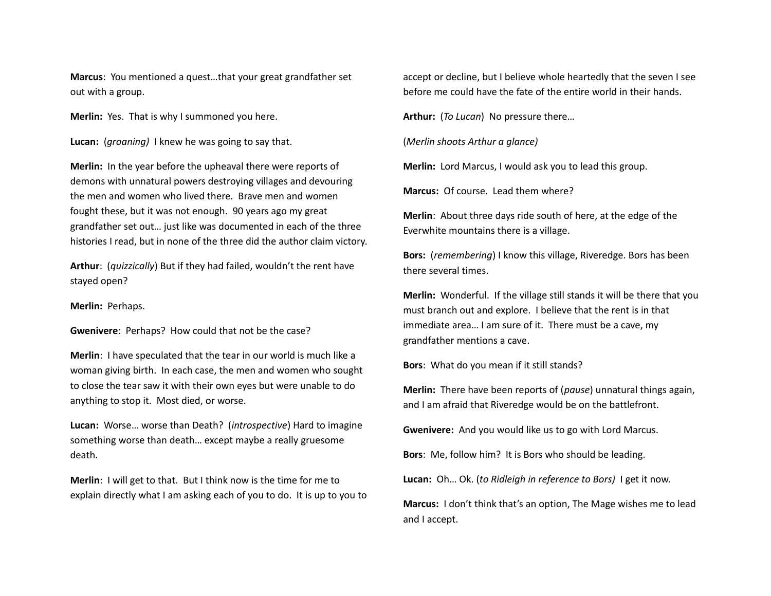**Marcus**: You mentioned a quest…that your great grandfather set out with a group.

**Merlin:** Yes. That is why I summoned you here.

**Lucan:** (*groaning)* I knew he was going to say that.

**Merlin:** In the year before the upheaval there were reports of demons with unnatural powers destroying villages and devouring the men and women who lived there. Brave men and women fought these, but it was not enough. 90 years ago my great grandfather set out… just like was documented in each of the three histories I read, but in none of the three did the author claim victory.

**Arthur**: (*quizzically*) But if they had failed, wouldn't the rent have stayed open?

**Merlin:** Perhaps.

**Gwenivere**: Perhaps? How could that not be the case?

**Merlin**: I have speculated that the tear in our world is much like a woman giving birth. In each case, the men and women who sought to close the tear saw it with their own eyes but were unable to do anything to stop it. Most died, or worse.

**Lucan:** Worse… worse than Death? (*introspective*) Hard to imagine something worse than death… except maybe a really gruesome death.

**Merlin**: I will get to that. But I think now is the time for me to explain directly what I am asking each of you to do. It is up to you to accept or decline, but I believe whole heartedly that the seven I see before me could have the fate of the entire world in their hands.

**Arthur:** (*To Lucan*) No pressure there…

(*Merlin shoots Arthur a glance)*

**Merlin:** Lord Marcus, I would ask you to lead this group.

**Marcus:** Of course. Lead them where?

**Merlin**: About three days ride south of here, at the edge of the Everwhite mountains there is a village.

**Bors:** (*remembering*) I know this village, Riveredge. Bors has been there several times.

**Merlin:** Wonderful. If the village still stands it will be there that you must branch out and explore. I believe that the rent is in that immediate area… I am sure of it. There must be a cave, my grandfather mentions a cave.

**Bors**: What do you mean if it still stands?

**Merlin:** There have been reports of (*pause*) unnatural things again, and I am afraid that Riveredge would be on the battlefront.

**Gwenivere:** And you would like us to go with Lord Marcus.

**Bors**: Me, follow him? It is Bors who should be leading.

**Lucan:** Oh… Ok. (*to Ridleigh in reference to Bors)* I get it now.

**Marcus:** I don't think that's an option, The Mage wishes me to lead and I accept.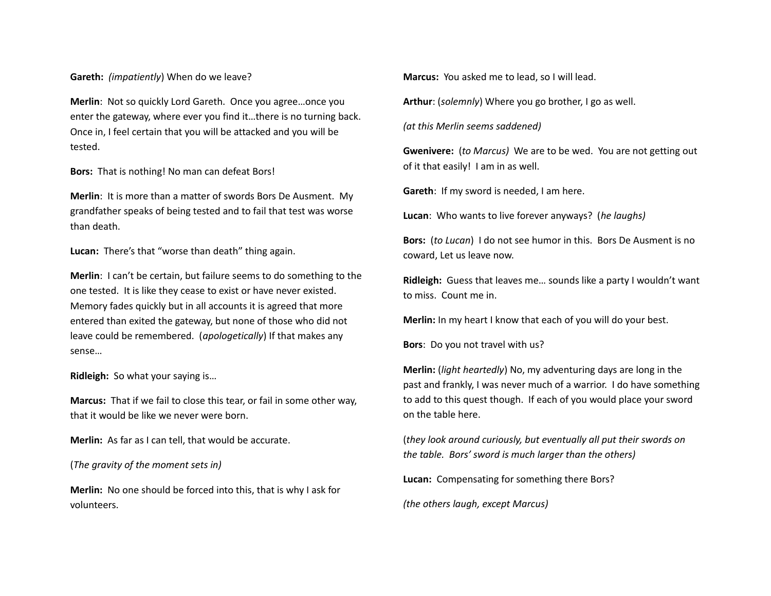### **Gareth:** *(impatiently*) When do we leave?

**Merlin**: Not so quickly Lord Gareth. Once you agree…once you enter the gateway, where ever you find it…there is no turning back. Once in, I feel certain that you will be attacked and you will be tested.

**Bors:** That is nothing! No man can defeat Bors!

**Merlin**: It is more than a matter of swords Bors De Ausment. My grandfather speaks of being tested and to fail that test was worse than death.

**Lucan:** There's that "worse than death" thing again.

**Merlin**: I can't be certain, but failure seems to do something to the one tested. It is like they cease to exist or have never existed. Memory fades quickly but in all accounts it is agreed that more entered than exited the gateway, but none of those who did not leave could be remembered. (*apologetically*) If that makes any sense…

**Ridleigh:** So what your saying is…

**Marcus:** That if we fail to close this tear, or fail in some other way, that it would be like we never were born.

**Merlin:** As far as I can tell, that would be accurate.

(*The gravity of the moment sets in)*

**Merlin:** No one should be forced into this, that is why I ask for volunteers.

**Marcus:** You asked me to lead, so I will lead.

**Arthur**: (*solemnly*) Where you go brother, I go as well.

*(at this Merlin seems saddened)* 

**Gwenivere:** (*to Marcus)* We are to be wed. You are not getting out of it that easily! I am in as well.

**Gareth**: If my sword is needed, I am here.

**Lucan**: Who wants to live forever anyways? (*he laughs)*

**Bors:** (*to Lucan*) I do not see humor in this. Bors De Ausment is no coward, Let us leave now.

**Ridleigh:** Guess that leaves me… sounds like a party I wouldn't want to miss. Count me in.

**Merlin:** In my heart I know that each of you will do your best.

**Bors**: Do you not travel with us?

**Merlin:** (*light heartedly*) No, my adventuring days are long in the past and frankly, I was never much of a warrior. I do have something to add to this quest though. If each of you would place your sword on the table here.

(*they look around curiously, but eventually all put their swords on the table. Bors' sword is much larger than the others)*

**Lucan:** Compensating for something there Bors?

*(the others laugh, except Marcus)*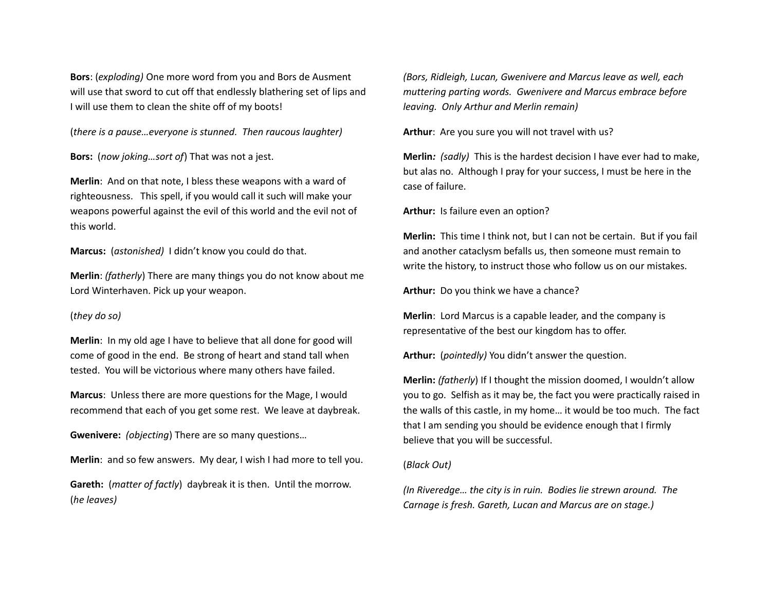**Bors**: (*exploding)* One more word from you and Bors de Ausment will use that sword to cut off that endlessly blathering set of lips and I will use them to clean the shite off of my boots!

(*there is a pause…everyone is stunned. Then raucous laughter)*

**Bors:** (*now joking…sort of*) That was not a jest.

**Merlin**: And on that note, I bless these weapons with a ward of righteousness. This spell, if you would call it such will make your weapons powerful against the evil of this world and the evil not of this world.

**Marcus:** (*astonished)* I didn't know you could do that.

**Merlin**: *(fatherly*) There are many things you do not know about me Lord Winterhaven. Pick up your weapon.

#### (*they do so)*

**Merlin**: In my old age I have to believe that all done for good will come of good in the end. Be strong of heart and stand tall when tested. You will be victorious where many others have failed.

**Marcus**: Unless there are more questions for the Mage, I would recommend that each of you get some rest. We leave at daybreak.

**Gwenivere:** *(objecting*) There are so many questions…

**Merlin**: and so few answers. My dear, I wish I had more to tell you.

**Gareth:** (*matter of factly*) daybreak it is then. Until the morrow. (*he leaves)*

*(Bors, Ridleigh, Lucan, Gwenivere and Marcus leave as well, each muttering parting words. Gwenivere and Marcus embrace before leaving. Only Arthur and Merlin remain)*

**Arthur**: Are you sure you will not travel with us?

**Merlin***: (sadly)* This is the hardest decision I have ever had to make, but alas no. Although I pray for your success, I must be here in the case of failure.

**Arthur:** Is failure even an option?

**Merlin:** This time I think not, but I can not be certain. But if you fail and another cataclysm befalls us, then someone must remain to write the history, to instruct those who follow us on our mistakes.

**Arthur:** Do you think we have a chance?

**Merlin**: Lord Marcus is a capable leader, and the company is representative of the best our kingdom has to offer.

**Arthur:** (*pointedly)* You didn't answer the question.

**Merlin:** *(fatherly*) If I thought the mission doomed, I wouldn't allow you to go. Selfish as it may be, the fact you were practically raised in the walls of this castle, in my home… it would be too much. The fact that I am sending you should be evidence enough that I firmly believe that you will be successful.

#### (*Black Out)*

*(In Riveredge… the city is in ruin. Bodies lie strewn around. The Carnage is fresh. Gareth, Lucan and Marcus are on stage.)*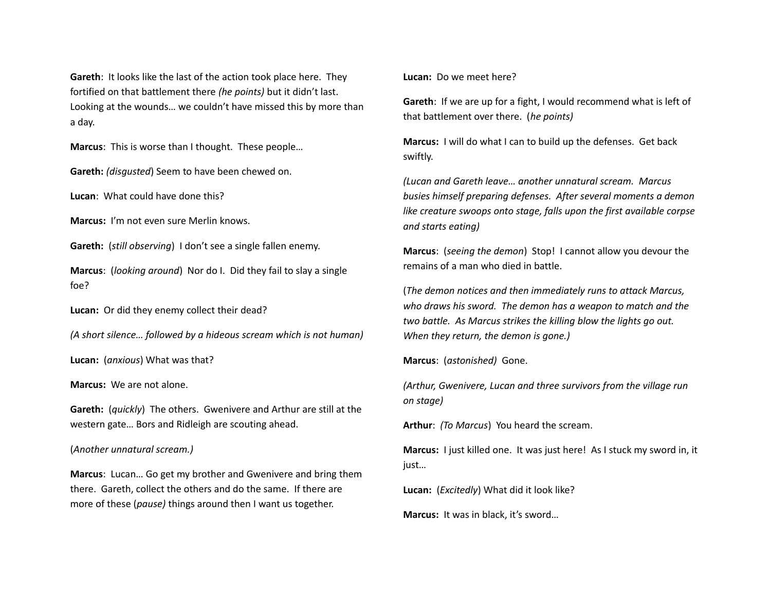**Gareth**: It looks like the last of the action took place here. They fortified on that battlement there *(he points)* but it didn't last. Looking at the wounds… we couldn't have missed this by more than a day.

**Marcus**: This is worse than I thought. These people…

**Gareth:** *(disgusted*) Seem to have been chewed on.

**Lucan**: What could have done this?

**Marcus:** I'm not even sure Merlin knows.

**Gareth:** (*still observing*) I don't see a single fallen enemy.

**Marcus**: (*looking around*) Nor do I. Did they fail to slay a single foe?

**Lucan:** Or did they enemy collect their dead?

*(A short silence… followed by a hideous scream which is not human)*

**Lucan:** (*anxious*) What was that?

**Marcus:** We are not alone.

**Gareth:** (*quickly*) The others. Gwenivere and Arthur are still at the western gate… Bors and Ridleigh are scouting ahead.

### (*Another unnatural scream.)*

**Marcus**: Lucan… Go get my brother and Gwenivere and bring them there. Gareth, collect the others and do the same. If there are more of these (*pause)* things around then I want us together.

**Lucan:** Do we meet here?

**Gareth**: If we are up for a fight, I would recommend what is left of that battlement over there. (*he points)*

**Marcus:** I will do what I can to build up the defenses. Get back swiftly.

*(Lucan and Gareth leave… another unnatural scream. Marcus busies himself preparing defenses. After several moments a demon like creature swoops onto stage, falls upon the first available corpse and starts eating)*

**Marcus**: (*seeing the demon*) Stop! I cannot allow you devour the remains of a man who died in battle.

(*The demon notices and then immediately runs to attack Marcus, who draws his sword. The demon has a weapon to match and the two battle. As Marcus strikes the killing blow the lights go out. When they return, the demon is gone.)*

**Marcus**: (*astonished)* Gone.

*(Arthur, Gwenivere, Lucan and three survivors from the village run on stage)*

**Arthur**: *(To Marcus*) You heard the scream.

**Marcus:** I just killed one. It was just here! As I stuck my sword in, it just…

**Lucan:** (*Excitedly*) What did it look like?

**Marcus:** It was in black, it's sword…